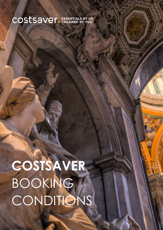## **COSTSAVER** ESSENTIALS BY US

# **COSTSAVER** BOOKING CONDITIONS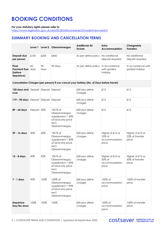## **BOOKING CONDITIONS**

#### **For your statutory rights please refer to**

[https://www.legislation.gov.uk/uksi/2018/634/schedule/2/made?view=plain\]](https://www.legislation.gov.uk/uksi/2018/634/schedule/2/made?view=plain)

## **SUMMARY BOOKING AND CANCELLATION TERMS**

|                                                           | Level 1     |            | Level 2 Oberammergau                                                                           | <b>Additional Air</b><br><b>Tickets</b> | Extra<br>Accommodation                               | Chargeable<br><b>Transfers</b>               |
|-----------------------------------------------------------|-------------|------------|------------------------------------------------------------------------------------------------|-----------------------------------------|------------------------------------------------------|----------------------------------------------|
| Deposit due<br>per person                                 | £100        | £200       | £460                                                                                           | As per airline policy                   | No additional<br>deposit required                    | No additional<br>deposit required            |
| <b>Final</b><br>Payment Due days<br>(before<br>departure) | 60          | 90<br>days | 90 days                                                                                        | As per airline policy                   | In accordance<br>with guided<br>holiday              | In accordance with<br>guided holiday         |
|                                                           |             |            | Cancellation Charges (per person) if you cancel your holiday (No. of Days before travel)       |                                         |                                                      |                                              |
| <b>120 days and Deposit Deposit Deposit</b><br>over       |             |            |                                                                                                | £30 plus airline<br>charges             | £15                                                  | £15                                          |
| 119 - 90 days Deposit Deposit Deposit                     |             |            |                                                                                                | £30 plus airline<br>charges             | £15                                                  | £15                                          |
| 89 - 60 days                                              | Deposit 30% |            | 100 % of<br>Oberammergau<br>$supplement + 30\%$<br>of land only price<br>excl.<br>Oberammergau | £30 plus airline<br>charges             | £15                                                  | £15                                          |
| 59 - 16 days                                              | 30%         | 60%        | 100 % of<br>Oberammergau<br>supplement + 30%<br>of land only price<br>excl.<br>Oberammergau    | £30 plus airline<br>charges             | Higher of £15 or<br>25% of<br>accommodation<br>price | Higher of £15 or<br>25% of transfer<br>price |
| 15 - 8 days                                               | 50%         | 90%        | 100 % of<br>Oberammergau<br>supplement $+50\%$<br>of land only price<br>excl.<br>Oberammergau  | £30 plus airline<br>charges             | Higher of £15 or<br>30% of<br>accommodation<br>price | Higher of £15 or<br>30% of transfer<br>price |
| $7 - 1$ days                                              | 90%         | 100%       | 100% of<br>Oberammergau<br>supplement + 90%<br>of land only price<br>excl.<br>Oberammergau     | £30 plus airline<br>charges             | 100% of<br>accommodation<br>price                    | 100% of transfer<br>price                    |
| <b>Departure</b><br>Day/No show                           | 100%        | 100%       | 100%                                                                                           | £30 plus airline<br>charges             | 100% of<br>accommodation<br>price                    | 100% of transfer<br>price                    |

## **COSTSAVEY.** ESSENTIALS BY US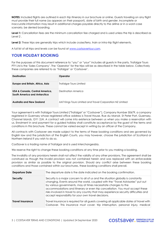**NOTES:** Included flights are outlined in each trip itinerary in our brochure or online. Guests traveling on any flight must provide their full name (as appears on their passport), date of birth and gender. Incomplete or inaccurate information may result in additional charges payable directly to the airline or in a worst-case scenario, be denied boarding.

Level 1: Cancellation fees are the minimum cancellation fee charged and is used unless the trip is described as Level 2 .

**Level 2:** These trips are generally trips which include cruise/ferry, train or intra-trip flight elements.

A full list of all trips and levels can be found at [www.costsavertour.com.](https://www.trafalgar.com/-/media/PDFs/Costsaver/CS%20Website%20Terms%20of%20Use/CS%20Booking%20Conditions%202020%2008/CS_Levels_Table%2025AUGUST20)

## **YOUR HOLIDAY BOOKING**

For the purposes of this document reference to "you" or "your" includes all guests in the party. Trafalgar Tours PTY Ltd is the 'Sales Company'. The 'Operator' for the trips will be as described in the table below. Collectively these companies are referred to as 'Trafalgar' or 'Costsaver'.

| <b>Destination</b>                                             | Operator                                                  |
|----------------------------------------------------------------|-----------------------------------------------------------|
| Europe and Britain, Africa, Asia                               | Trafalgar Tours Limited                                   |
| USA & Canada, Central America,<br>South America and Antarctica | Destination America                                       |
| Australia and New Zealand                                      | AAT Kings Tours Limited and Travel Corporation NZ Limited |

Your agreement is with Trafalgar Tours Limited ("Trafalgar" or "Costsaver"), Company Number 50679, a company registered in Guernsey whose registered office address is Travel House, Rue du Manoir, St Peter Port, Guernsey, Channel Islands, GY1 2JH. A contract will come into existence between us when you make a reservation with us. Enrolment in and payment for a guided holiday shall constitute acceptance by the guest of the terms and conditions in this brochure. These cannot be varied except in writing by an officer of the Company.

All contracts with Costsaver are made subject to the terms of these booking conditions and are governed by English law and the jurisdiction of the English Courts, you may however, choose the jurisdiction of Scotland or Northern Ireland if you wish to do so.

CostSaver is a trading name of Trafalgar and is used interchangeably.

We reserve the right to change these booking conditions at any time prior to you making a booking.

The invalidity of any provisions herein shall not affect the validity of any other provisions. The agreement shall be construed as though the invalid provision was not contained herein and was replaced with an enforceable provision as similar as possible to the original provision. Should any conflict arise between these booking conditions and those contained within our brochures, these booking conditions shall prevail.

| <b>Departure Date</b>   | The departure date is the date indicated on the booking confirmation.                                                                                                                                                                                                                                                                                                                                                                                                     |
|-------------------------|---------------------------------------------------------------------------------------------------------------------------------------------------------------------------------------------------------------------------------------------------------------------------------------------------------------------------------------------------------------------------------------------------------------------------------------------------------------------------|
| <b>Security</b>         | Security is a major concern to all of us and the situation globally is constantly<br>changing. Events around the world, coupled with the "Travel Advisories" put out<br>by various governments, may at times necessitate changes to the<br>accommodations and itinerary or even trip cancellation. You must accept these<br>risks involved in travel to any country that may experience security difficulties and<br>accept responsibility for your own travel decisions. |
| <b>Travel Insurance</b> | Travel insurance is required for all guests covering all applicable dates of travel with<br>Costsaver. This insurance must cover; trip interruption, personal injury, medical                                                                                                                                                                                                                                                                                             |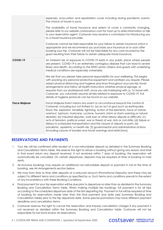| expenses, evacuation and repatriation cover including during pandemic events.<br>The choice of insurer is yours.                                                                                                                                                                                                                                                                                                                                                                                                                                                                                                                                                                                                                                                                    |
|-------------------------------------------------------------------------------------------------------------------------------------------------------------------------------------------------------------------------------------------------------------------------------------------------------------------------------------------------------------------------------------------------------------------------------------------------------------------------------------------------------------------------------------------------------------------------------------------------------------------------------------------------------------------------------------------------------------------------------------------------------------------------------------|
| The availability of travel insurance and extent of cover is constantly changing,<br>please refer to our website costsavetour.com for most up to date information or talk<br>to your reservation agent. Costsaver may receive a commission for introducing you<br>to a travel insurance provider.                                                                                                                                                                                                                                                                                                                                                                                                                                                                                    |
| Costsaver cannot be held responsible for your failure to obtain insurance which is<br>appropriate and we recommend you purchase your insurance at or soon after<br>booking your trip. Costsaver will not be held liable for any costs incurred by the<br>guest resulting from their failure to obtain adequate travel insurance.                                                                                                                                                                                                                                                                                                                                                                                                                                                    |
| An inherent risk of exposure to COVID-19 exists in any public place where people<br>are present. COVID-19 is an extremely contagious disease that can lead to severe<br>illness and death. According to the WHO senior citizens and guests with underlying<br>medical conditions are especially vulnerable.                                                                                                                                                                                                                                                                                                                                                                                                                                                                         |
| We ask that you please take personal responsibility for your wellbeing. This begins<br>with packing any personal protective equipment and sanitisers you require. Please<br>adopt physical distancing and hygiene practices throughout your pre-trip travel<br>arrangements and follow all health instructions whether physical signage, or<br>requests from our professional staff, once you are holidaying with us. To travel with<br>Costsaver, you voluntarily assume all risks related to exposure to COVID-19. Full<br>details of hygiene protocols can be found on our website.                                                                                                                                                                                              |
| Force Majeure Event means any event or circumstance beyond the control of<br>Costsaver, including but not limited to: (a) an act of god (such as earthquake,<br>flood, fire, explosion, landslide, lightning, action of the elements, force of nature,<br>washout, typhoon, hurricane, cyclone, tsunami, storm or storm warning or natural<br>disaster); (b) industrial disputes, work ban or other labour dispute or difficulty; (c)<br>acts of terrorism, political unrest, war or threat of war, riots or civil strife; (d) failure or<br>delays to scheduled transportation and the closure of airports or ports; (e)<br>pandemic, epidemic or health risk; (f) governmental and administrative actions<br>(including closure of borders and travel warnings and restrictions). |
|                                                                                                                                                                                                                                                                                                                                                                                                                                                                                                                                                                                                                                                                                                                                                                                     |

## **RESERVATIONS AND PAYMENTS**

- 1. Your trip will be confirmed after receipt of a non-refundable deposit as detailed in the Summary Booking and Cancellation Terms table. We reserve the right to refuse a booking without giving any reason and shall in that event return any deposit received. If not received within 7 days of booking, the reservation will automatically be cancelled. On certain departures, deposits may be required at time of booking to hold seats.
- 2. Air-inclusive bookings may require an additional non-refundable deposit or payment in full at the time of booking, see Air Arrangements section below.
- 3. We may from time to time offer deposits at a reduced amount (Promotional Deposits) and these may be subject to different terms and conditions as specified by us. Such terms and conditions prevail to the extent of any inconsistency with these Booking Conditions.
- 4. Final payment for your trip reservation will be due prior to departure no later than as detailed in the Summary Booking and Cancellation Terms table. When making multiple trip bookings, full payment is for all trips according to the scheduled departure date of the first departing trip. Payment in full will be required at time of booking for reservations made later than the final payment due date (see Summary Booking and Cancellation table) prior to the trip departure date. Some special promotions may have different payment deadlines and cancellation terms.
- 5. Costsaver reserves the right to cancel the reservation and impose cancellation charges if any payment is not received as detailed within the Summary Booking and Cancellation table. Costsaver will not be responsible for lost land and/or air reservations.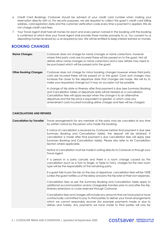- 6. Credit Card Bookings: Costsaver should be advised of your credit card number when making your reservation directly with us. For security purposes, we are required to collect the guest's credit card billing address, card expiration date and the customer verification code every time a payment is applied. We do not charge credit card fees.
- 7. Your Travel Agent shall hold all monies for each and every person named in the booking until the booking is confirmed at which time your Travel Agent shall provide those monies promptly to us. You consent to us depositing monies received by us as required by law. We will be entitled to keep interest earned on monies.

## **BOOKING CHANGES**

| <b>Name Changes</b>              | Costsaver does not charge for name changes or name corrections, however<br>where third party costs are incurred these will be passed on to the guest. Not all<br>airlines allow name changes or name corrections and a new airfare may need to<br>be purchased which will be passed onto the guest.                                                                                                                                                                                                                                                                                                                                                                                                                                    |
|----------------------------------|----------------------------------------------------------------------------------------------------------------------------------------------------------------------------------------------------------------------------------------------------------------------------------------------------------------------------------------------------------------------------------------------------------------------------------------------------------------------------------------------------------------------------------------------------------------------------------------------------------------------------------------------------------------------------------------------------------------------------------------|
| <b>Other Booking Changes</b>     | Costsaver does not charge for minor booking changes however where third party<br>costs are incurred these will be passed on to the guest. Costs and charges may<br>increase the closer to the departure date that changes are made. We will try to<br>make your requested change but it may on occasion not be possible.<br>A change of trip date or itinerary after final payment is due (see Summary Booking<br>and Cancellation table) of departure date will be treated as a cancellation.<br>Cancellation fees will apply except when the change is to an alternative<br>departure and the trip price is equivalent or greater, in which case any<br>amendment costs incurred including airline charges and fees will be charged. |
| <b>CANCELLATIONS AND REFUNDS</b> |                                                                                                                                                                                                                                                                                                                                                                                                                                                                                                                                                                                                                                                                                                                                        |
| <b>Cancellation by Traveller</b> | Travel arrangements for any member of the party may be cancelled at any time<br>by written notice by the person who made the booking.                                                                                                                                                                                                                                                                                                                                                                                                                                                                                                                                                                                                  |
|                                  | If notice of cancellation is received by Costsaver before final payment is due (see<br>Summary Booking and Cancellation table), the deposit will be retained. If<br>cancellation is made after final payment is due cancellation fees will apply (see<br>Summary Booking and Cancellation table). Please also refer to Air Cancellation<br>Section where applicable.                                                                                                                                                                                                                                                                                                                                                                   |
|                                  | Notice of cancellation must be made in writing directly to Costsaver or through your<br>Travel Agent.                                                                                                                                                                                                                                                                                                                                                                                                                                                                                                                                                                                                                                  |
|                                  | If a person in a party cancels and there is a room change caused by this<br>cancellation (such as a Twin to Single, or Triple to Twin), charges for the new room<br>type will be the responsibility of the remaining party.                                                                                                                                                                                                                                                                                                                                                                                                                                                                                                            |
|                                  | If a guest fails to join the trip on the day of departure, cancellation fees will be 100%<br>(unless the guest notifies us of the delay and joins the trip later at their own expense).                                                                                                                                                                                                                                                                                                                                                                                                                                                                                                                                                |
|                                  | Cancellation fees as per the Summary Booking and Cancellation table apply to<br>additional accommodation and/or chargeable transfers prior to and after the trip,<br>itinerary extensions or cruise reserved through Costsaver.                                                                                                                                                                                                                                                                                                                                                                                                                                                                                                        |
|                                  | Cancellation fees and charges will include any amounts that we have paid or have<br>contractually committed to pay to third parties to deliver your travel arrangements<br>which we cannot reasonably recover (for example payments made or due to<br>airlines and hotels). Any payments we have made to third parties will only be                                                                                                                                                                                                                                                                                                                                                                                                    |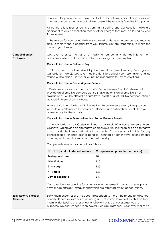|                                                                                                                                                                                                                                                                                                                                                                                                   | refunded to you once we have deducted the above cancellation fees and<br>charges and once we have actually recovered the amounts from the third parties.                 |  |
|---------------------------------------------------------------------------------------------------------------------------------------------------------------------------------------------------------------------------------------------------------------------------------------------------------------------------------------------------------------------------------------------------|--------------------------------------------------------------------------------------------------------------------------------------------------------------------------|--|
| Travel Agent.                                                                                                                                                                                                                                                                                                                                                                                     | All cancellations fees as per the Summary Booking and Cancellation table are<br>additional to any cancellation fees or other charges that may be levied by your          |  |
| claim to your insurer.                                                                                                                                                                                                                                                                                                                                                                            | If the reason for your cancellation is covered under your insurance, you may be<br>able to reclaim these charges from your insurer. You are responsible to make the      |  |
| accommodation, in-destination activity or arrangement at any time.                                                                                                                                                                                                                                                                                                                                | Costsaver reserves the right, to modify or cancel any trip (definite or not),                                                                                            |  |
| <b>Cancellation due to Failure to Pay</b>                                                                                                                                                                                                                                                                                                                                                         |                                                                                                                                                                          |  |
| refund will be made. Costsaver will not be responsible for lost reservations.                                                                                                                                                                                                                                                                                                                     | If full payment is not received by the due date (see Summary Booking and<br>Cancellation table), Costsaver has the right to cancel your reservation and no               |  |
| <b>Cancellation due to Force Majeure Events</b>                                                                                                                                                                                                                                                                                                                                                   |                                                                                                                                                                          |  |
| provide an alternative comparable trip (if available). If an alternative is not<br>payable in these circumstances.                                                                                                                                                                                                                                                                                | If Costsaver cancels a trip as a result of a Force Majeure Event, Costsaver will<br>available you will be offered a future travel credit or a refund. No compensation is |  |
| agree to pay for these costs.                                                                                                                                                                                                                                                                                                                                                                     | Where a trip is terminated mid-trip due to a Force Majeure event, if we provide<br>you with any alternative services or assistance (such as hotels or travel) then you   |  |
| <b>Cancellation due to Events other than Force Majeure Events</b>                                                                                                                                                                                                                                                                                                                                 |                                                                                                                                                                          |  |
| If the cancellation by Costsaver is not as a result of a Force Majeure Event,<br>Costsaver will provide an alternative comparable trip (if available) if an alternative<br>is not available then a refund will be made. Costsaver is not liable for any<br>cancellation or change cost or penalties incurred on other travel arrangements,<br>including air travel, that may be affected thereby. |                                                                                                                                                                          |  |
| Compensation may also be paid as follows:                                                                                                                                                                                                                                                                                                                                                         |                                                                                                                                                                          |  |
| No. of days prior to departure date                                                                                                                                                                                                                                                                                                                                                               | <b>Compensation payable (per person)</b>                                                                                                                                 |  |
| 46 days and over                                                                                                                                                                                                                                                                                                                                                                                  | £0                                                                                                                                                                       |  |
| $45 - 22$ days                                                                                                                                                                                                                                                                                                                                                                                    | £10                                                                                                                                                                      |  |
| $21 - 8$ days                                                                                                                                                                                                                                                                                                                                                                                     | £20                                                                                                                                                                      |  |
| $7 - 1$ days                                                                                                                                                                                                                                                                                                                                                                                      | £30                                                                                                                                                                      |  |
|                                                                                                                                                                                                                                                                                                                                                                                                   | £40                                                                                                                                                                      |  |
| have made outside Costsaver and which are affected by our cancellations.                                                                                                                                                                                                                                                                                                                          | Costsaver is not responsible for other travel arrangements that you or your party                                                                                        |  |
| Early return expenses are the guest's responsibility. There is no refund for absence<br>or early departure from a trip, including but not limited to missed hotels, transfers,<br>meals or sightseeing cruises or optional extensions. Costsaver urges you to<br>purchase travel insurance which covers such circumstances. Costsaver makes no                                                    |                                                                                                                                                                          |  |
|                                                                                                                                                                                                                                                                                                                                                                                                   | Day of departure                                                                                                                                                         |  |

## **COSTSAVEY.** ESSENTIALS BY US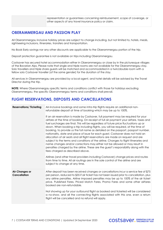representation or guarantees concerning reimbursement, scope of coverage, or other aspects of any travel insurance policy or claim.

## **OBERAMMERGAU AND PASSION PLAY**

All Oberammergau inclusive holiday prices are subject to change including, but not limited to, hotels, meals, sightseeing inclusions, itineraries, transfers and transportation.

No Book Early savings nor any other discounts are applicable to the Oberammergau portion of the trip.

Deposit protection guarantee is not available on trips including Oberammergau.

Costsaver has secured hotel accommodation either in Oberammergau or close by in the picturesque villages of the Bavarian Alps. Please note that single and triple rooms are not available for the Oberammergau stay. Solo travellers and triple share guests will be matched and accommodated in a twin/double room with a fellow solo Costsaver traveller (of the same gender) for the duration of the stay.

All services in Oberammergau are provided by a local agent, and hotel details will be advised by the Travel Director during the trip.

**NOTE:** Where Oberammergau specific terms and conditions conflict with those for holidays excluding Oberammergau, the specific Oberammergau terms and conditions shall prevail.

## **FLIGHT RESERVATIONS, DEPOSITS AND CANCELLATIONS**

| <b>Reservations/Ticketing</b>         | Air-inclusive bookings and some intra-trip flights require an additional non-<br>refundable deposit at time of booking which may be up to 100%.<br>If an air reservation is made by Costsaver, full payment may be required for your<br>airfare at the time of booking. On receipt of full air payment your airfare, taxes and<br>fuel surcharges are final. This will be regardless of future price fluctuations up or<br>down. When booking a trip including flights, you will be required, at the time of<br>booking, to provide us the full name as detailed on the passport, passport number,<br>nationality, date and place of issue for each guest. Costsaver does not hold an<br>allocation of air seats and all flight reservations are made on request and are<br>subject to the terms and conditions of the airline. Changes to flight itineraries and<br>name changes and/or corrections may either not be allowed or may result in<br>penalties charged by the airline. These are the guest's responsibility along with the<br>fees charged as described above.<br>Airlines (and other travel providers including Costsaver) change prices and routes<br>from time to time. All air routings are in the sole control of the airline and are<br>subject to change at any time. |
|---------------------------------------|--------------------------------------------------------------------------------------------------------------------------------------------------------------------------------------------------------------------------------------------------------------------------------------------------------------------------------------------------------------------------------------------------------------------------------------------------------------------------------------------------------------------------------------------------------------------------------------------------------------------------------------------------------------------------------------------------------------------------------------------------------------------------------------------------------------------------------------------------------------------------------------------------------------------------------------------------------------------------------------------------------------------------------------------------------------------------------------------------------------------------------------------------------------------------------------------------------------------------------------------------------------------------------------------|
| Air Changes or<br><b>Cancellation</b> | After deposit has been received changes or cancellations incur a service fee of \$75<br>per person, reduced to \$35 if air ticket has not been issued prior to cancellation, plus<br>any airline penalties. Airline imposed penalties may be up to 100% of the air ticket<br>price. Published Fares, Priced Match Fares, Promo Fares and some other airfares<br>booked are non-refundable.<br>Not showing up for your outbound flight as booked and ticketed will be considered<br>a no-show, and all the connecting flights associated with this one, even a return<br>flight will be cancelled and no refund will apply.                                                                                                                                                                                                                                                                                                                                                                                                                                                                                                                                                                                                                                                                 |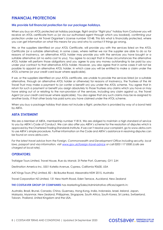## **FINANCIAL PROTECTION**

#### *We provide full financial protection for our package holidays.*

When you buy an ATOL protected air holiday package, flight and/or "flight plus" holiday from Costsaver you will receive an ATOL certificate from us (or via our authorised agent through which you booked), confirming your protection under our Air Travel Organiser's License number 10148. This lists what is financially protected, where you can get information on what this means for you and who to contact if things go wrong.

We, or the suppliers identified on your ATOL Certificate, will provide you with the services listed on the ATOL Certificate (or a suitable alternative). In some cases, where neither we nor the supplier are able to do so for reasons of insolvency, an alternative ATOL holder may provide you with the services you have bought or a suitable alternative (at no extra cost to you). You agree to accept that in those circumstances the alternative ATOL holder will perform those obligations and you agree to pay any money outstanding to be paid by you under your contract to that alternative ATOL holder. However, you also agree that in some cases it will not be possible to appoint an alternative ATOL holder, in which case you will be entitled to make a claim under the ATOL scheme (or your credit card issuer where applicable).

If we, or the suppliers identified on your ATOL certificate, are unable to provide the services listed (or a suitable alternative, through an alternative ATOL holder or otherwise) for reasons of insolvency, the Trustees of the Air Travel Trust may make a payment to (or confer a benefit on) you under the ATOL scheme. You agree that in return for such a payment or benefit you assign absolutely to those Trustees any claims which you have or may have arising out of or relating to the non-provision of the services, including any claim against us, the Travel Agent (or your credit card issuer where applicable). You also agree that any such claims may be re-assigned to another body, if that other body has paid sums you have claimed under the ATOL scheme.

When you buy a package holiday that does not include a flight, protection is provided by way of a bond held by ABTA.

#### **ABTA STATEMENT**

We are a Member of ABTA, membership number Y181X. We are obliged to maintain a high standard of service to you by ABTA's Code of Conduct. We can also offer you ABTA's scheme for the resolution of disputes which is approved by the Chartered Trading Standards Institute. If we can't resolve your complaint, go to www.abta.com to use ABTA's simple procedure. Further information on the Code and ABTA's assistance in resolving disputes can be found on [www.abta.com.](http://www.abta.com/)

For the latest travel advice from the Foreign, Commonwealth and Development Office including security, local *laws, passport and visa information, visit [www.gov.uk/foreign-travel-advice](http://www.gov.uk/foreign-travel-advice) or call 0203 117 0500 (calls are charged at local rate).*

#### **OPERATORS:**

Trafalgar Tours Limited, Travel House, Rue du Manoir, St Peter Port, Guernsey, GY1 2JH

Destination America Inc, 5551 Katella Avenue, Cypress, California 90630, USA

AAT Kings Tours (Pty) Limited, 82 – 86 Bourke Road, Alexandria NSW 2015, Australia

Travel Corporation NZ Limited, 131 New North Road, Eden Terrace, Auckland, New Zealand

**THE COSTSAVER GROUP OF COMPANIES** has Marketing/Sales/Administrative offices/agents in:

Australia, Brazil, Brunei, Canada, China, Guernsey, Hong Kong, India, Indonesia, Israel, Ireland, Japan, Malaysia, Myanmar, New Zealand, Philippines, Singapore, South Africa, South Korea, Sri Lanka, Switzerland, Taiwan, Thailand, United Kingdom and the USA.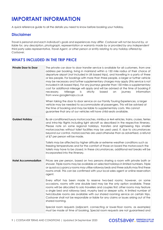## **IMPORTANT INFORMATION**

A quick reference guide to all the details you need to know before booking your holiday.

## **Disclaimer**

*Travel is personal and each individual's goals and experiences may differ. Costsaver will not be bound by, or liable for, any description, photograph, representation or warranty made by or provided by any independent third party sales representative, Travel Agent, or other person or entity relating to any holiday offered by Costsaver.*

## **WHAT'S INCLUDED IN THE TRIP PRICE**

| <b>Private Door to Door</b> | The private car door to door transfer service is available for all customers, from one<br>address per booking, living in mainland within a 150 mile radius of their choice of<br>departure airport (not included in UK-based trips), and travelling in a party of three<br>or less people. For bookings with more than three people, a larger or further vehicle<br>may be necessary and further supplementary charges may apply (this service is not<br>included in UK-based trips). For any journeys greater than 150 miles a supplementary<br>cost for additional mileage will apply and will be advised at the time of booking if<br>necessary.<br>Mileage<br>is<br>strictly<br>based<br>information<br>on<br>journey<br>from www.googlemaps.co.uk<br>When taking the door to door service on our Family Touring Experiences, a larger<br>vehicle may be needed to accommodate all passengers. This will be advised at<br>the time of booking and may be liable to supplementary costs. We cannot<br>guarantee that any of our vehicles will have child-seats available. |
|-----------------------------|------------------------------------------------------------------------------------------------------------------------------------------------------------------------------------------------------------------------------------------------------------------------------------------------------------------------------------------------------------------------------------------------------------------------------------------------------------------------------------------------------------------------------------------------------------------------------------------------------------------------------------------------------------------------------------------------------------------------------------------------------------------------------------------------------------------------------------------------------------------------------------------------------------------------------------------------------------------------------------------------------------------------------------------------------------------------------|
| <b>Guided Holiday</b>       | By air-conditioned luxury motorcoaches, minibus or 4x4 vehicles, trains, cruises, ferries<br>and intra-trip flights including light aircraft as described in the respective itinerary.<br>Please note on some regional holidays, transfers and sightseeing trips smaller<br>motorcoaches without toilet facilities may be used used. If, due to circumstances<br>beyond our control, motorcoaches are used otherwise than as advertised, a refund<br>of £7 per person will be made.<br>Toilets may be affected by higher altitude or extreme weather conditions such as<br>freezing temperatures and for the comfort of those on board the motorcoach the                                                                                                                                                                                                                                                                                                                                                                                                                    |
|                             | toilets may have to be closed. In these circumstances, additional rest breaks will be<br>incorporated into the itinerary.                                                                                                                                                                                                                                                                                                                                                                                                                                                                                                                                                                                                                                                                                                                                                                                                                                                                                                                                                    |
| <b>Hotel Accommodation</b>  | Prices are per person, based on two persons sharing a room with private bath or<br>shower. Triple rooms may be available on selected holidays in limited numbers. Triple<br>or quad occupancy rooms may utilise rollaway beds and three adults may find these<br>rooms small. This can be confirmed with your local sales agent or online reservation<br>agent.                                                                                                                                                                                                                                                                                                                                                                                                                                                                                                                                                                                                                                                                                                              |
|                             | Every effort has been made to reserve two-bed rooms; however, on some<br>occasions, rooms with one double bed may be the only option available. These<br>rooms will be allocated to solo travellers and couples first; other rooms may feature<br>a single bed and rollaway bed, murphy bed or sleeper sofa. A limited number of<br>twin/double rooms are available with our shared rooming service on certain trips.<br>Costsaver shall not be responsible or liable for any claims or issues arising out of the<br>shared rooming.                                                                                                                                                                                                                                                                                                                                                                                                                                                                                                                                         |
|                             | Special room requests (adjacent, connecting or lower-floor rooms, as examples)<br>must be made at time of booking. Special room requests are not guaranteed and                                                                                                                                                                                                                                                                                                                                                                                                                                                                                                                                                                                                                                                                                                                                                                                                                                                                                                              |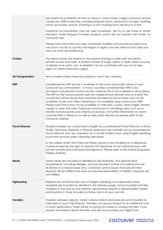|                           | are based on availability at time of check-in. Many hotels, lodges and luxury tented<br>camps are 100% smoke-free, including all guest rooms, restaurants, lounges, meeting<br>rooms and public spaces. Smoking in a non-smoking room will result in a fine.                                                                                                                                                                                                                                                                                                                                                                                                                                                                                                                                                                                                         |
|---------------------------|----------------------------------------------------------------------------------------------------------------------------------------------------------------------------------------------------------------------------------------------------------------------------------------------------------------------------------------------------------------------------------------------------------------------------------------------------------------------------------------------------------------------------------------------------------------------------------------------------------------------------------------------------------------------------------------------------------------------------------------------------------------------------------------------------------------------------------------------------------------------|
|                           | Substitute accomodation may be used sometimes. We try to use those of similar<br>standard. Hotel Frequent Traveller program points are not earned with hotels on<br>Costsaver trips.                                                                                                                                                                                                                                                                                                                                                                                                                                                                                                                                                                                                                                                                                 |
|                           | Please note that hotel room sizes, standards, facilities and services provided may<br>vary from country to country and region to region and are often local in style and<br>may not have airconditioning.                                                                                                                                                                                                                                                                                                                                                                                                                                                                                                                                                                                                                                                            |
| <b>Cruises</b>            | Per person prices are based on two persons sharing a cabin with two berths,<br>private shower and toilet. A limited number of single cabins or triple cabins may be<br>available at an extra cost. Availability can be confirmed with your local sales<br>agent or online reservation agent.                                                                                                                                                                                                                                                                                                                                                                                                                                                                                                                                                                         |
| <b>Air Transportation</b> | Not included unless otherwise outlined in each trip's itinerary.                                                                                                                                                                                                                                                                                                                                                                                                                                                                                                                                                                                                                                                                                                                                                                                                     |
| <b>WiFi</b>               | Complimentary WiFi service is available in the rooms and public areas of most<br>Costsaver accommodation . In many countries complimentary WiFi is also<br>provided on-board the motorcoaches, however this is not available in all locations.<br>The WiFi on the motorcoaches uses the mobile phone network and as a result the<br>connection will be slower than standard broadband and at times may not be<br>available. Audio and Video streaming is not available using motorcoach WiFi.<br>Please note that it may not be available on train trips, cruises, safari lodges, tented<br>camps or when the main Costsaver motorcoach is not being used, such as on<br>transfer motorcoaches and other local services. For further information on which<br>countries WiFi is offered in as well as daily data allowances please refer to the<br>Costsaver website. |
| <b>Travel Director</b>    | Guided holidays are conducted in English by a professional Travel Director or Driver<br>Guide. Mini-stays, Explorers or itinerary extensions are normally not accompanied by<br>Travel Director and are operated on a locally hosted basis using English-speaking<br>Local Host services unless otherwise described.                                                                                                                                                                                                                                                                                                                                                                                                                                                                                                                                                 |
|                           | In the unlikely event that there are fifteen guests or less travelling on a departure,<br>Costsaver reserves the right to operate this departure on an individual basis with<br>private transfers and individual arrangements. Please refer to the individual guided<br>holiday itinerary.                                                                                                                                                                                                                                                                                                                                                                                                                                                                                                                                                                           |
| <b>Meals</b>              | Some meals are included as detailed on trip itineraries. Any special meal<br>requirements, including allergies, must be provided at time of booking and are<br>received on a request basis only. Costsaver cannot assure that special meal<br>requests will be fulfilled and does not assume responsibility or liability if requests are<br>not fulfilled.                                                                                                                                                                                                                                                                                                                                                                                                                                                                                                           |
| Sightseeing               | Experiences, entrance fees and an English-speaking Local Specialist (when<br>required) are included as detailed in the itinerary pages. Some included activities<br>(marked on the day-by-day itinerary descriptions) require a signed liability waiver;<br>participation in those included activities and is at your own risk.                                                                                                                                                                                                                                                                                                                                                                                                                                                                                                                                      |
| <b>Transfers</b>          | Transfers between airports, hotels, railway stations and piers are only included as<br>indicated on each trip itinerary. Transfers can be purchased for an additional cost<br>in many destinations. There will be no refund for missed or unused transfers. If you<br>require and reserve airport transfers and did not purchase your flights from                                                                                                                                                                                                                                                                                                                                                                                                                                                                                                                   |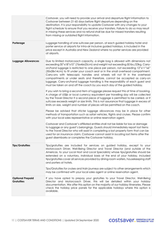|                                              | Costsaver, you will need to provide your arrival and departure flight information to<br>Costsaver between 21-65 days before flight departure depending on the<br>destination. It is your responsibility to update Costsaver with any changes to your<br>flight schedule to ensure that you receive your transfers. Failure to do so may result<br>in missing these services and no refund shall be due for missed transfers resulting<br>from missing or outdated flight information.                                                                                                                                                                                                                                                                                                                                                                                                                                                                                                                                                                                                                                                                                                                                                                                                                                                                                                                                                                                                                                                                                                                                                                                                                                                                                                        |
|----------------------------------------------|----------------------------------------------------------------------------------------------------------------------------------------------------------------------------------------------------------------------------------------------------------------------------------------------------------------------------------------------------------------------------------------------------------------------------------------------------------------------------------------------------------------------------------------------------------------------------------------------------------------------------------------------------------------------------------------------------------------------------------------------------------------------------------------------------------------------------------------------------------------------------------------------------------------------------------------------------------------------------------------------------------------------------------------------------------------------------------------------------------------------------------------------------------------------------------------------------------------------------------------------------------------------------------------------------------------------------------------------------------------------------------------------------------------------------------------------------------------------------------------------------------------------------------------------------------------------------------------------------------------------------------------------------------------------------------------------------------------------------------------------------------------------------------------------|
| Porterage                                    | Luggage handling of one suitcase per person, at each guided holiday hotel and<br>porter service at airports for intra-air inclusive guided holidays, is included in the<br>price except in Australia and New Zealand where no porter services are provided<br>at airports.                                                                                                                                                                                                                                                                                                                                                                                                                                                                                                                                                                                                                                                                                                                                                                                                                                                                                                                                                                                                                                                                                                                                                                                                                                                                                                                                                                                                                                                                                                                   |
| <b>Luggage Allowances</b>                    | Due to limited motorcoach capacity, a single bag is allowed with dimensions not<br>exceeding 30"x18"x10" (76x46x25cm) and weight not exceeding 50 lbs./23kg. Carry-<br>on/hand luggage is restricted to one piece per person, not exceeding 12"x11"x6"<br>(30x28x14cm) to fit under your coach seat or in the small overhead compartment.<br>Carry-ons with telescopic handles and wheels will not fit in the overhead<br>compartments or under seats and therefore, cannot be accepted as carry-on<br>luggage. Carry-on/hand luggage handling is the responsibility of each guest and<br>must be taken on and off the coach by you each day of the guided holiday.<br>If you wish to bring a second item of luggage please request this at time of booking.<br>A charge of US\$6 or local currency equivalent per travelling day will be collected<br>by the Travel Director if a second piece of luggage is permitted to be carried, or if<br>suitcase exceeds weight or size limits. This is not assurance that luggage in excess of<br>limits on size, weight and number of pieces will be permitted on the coach.<br>Please be advised that stricter luggage allowances may be in place for other<br>methods of transportation such as safari vehicles, flights and cruises. Please confirm<br>with your local sales representative or online reservation agent.<br>Costsaver and Costsaver's affiliated entities shall not be liable for loss or damage<br>to luggage or any guest's belongings. Guests should immediately report lost items<br>to the Travel Director who will assist in completing a lost property form that can be<br>used for an insurance claim. Costsaver cannot assist in locating lost items after the<br>guest disembarks or completes the Costsaver holiday. |
| <b>Tips/Gratuities</b>                       | Tips/gratuities are included for services on guided holiday, except to your<br>Motorcoach Driver, Well-Being Director and Travel Director (and outside of the<br>Americas, to your Local Host and Local Specialists) whose tips/gratuities should be<br>extended on a voluntary, individual basis at the end of your holiday. Included<br>tips/gratuities cover all services provided by dining-room waiters, housekeeping staff<br>and porters at hotels.<br>Tips/Gratuities for cruises and train journeys are subject to other arrangements which<br>may be confirmed with your local sales agent or online reservation agent.                                                                                                                                                                                                                                                                                                                                                                                                                                                                                                                                                                                                                                                                                                                                                                                                                                                                                                                                                                                                                                                                                                                                                            |
| <b>Optional Prepaid</b><br><b>Gratuities</b> | If you have opted to prepay your gratuities to your Travel Director, Well-Being<br>Director and Motorcoach Driver, this will be detailed within your holiday<br>documentation. We offer this option on the majority of our holiday itineraries. Please<br>check the holiday price panels for the applicable holidays where this option is<br>available.                                                                                                                                                                                                                                                                                                                                                                                                                                                                                                                                                                                                                                                                                                                                                                                                                                                                                                                                                                                                                                                                                                                                                                                                                                                                                                                                                                                                                                      |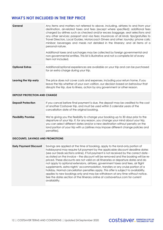## **WHAT'S NOT INCLUDED IN THE TRIP PRICE**

| General                                  | Any items and matters not referred to above, including, airfares to and from your<br>destination, air-related taxes and fees (except where specified); additional fees<br>charged by airlines such as checked and/or excess baggage, seat selections and<br>any other services; passport and visa fees; insurances of all kinds; tips/gratuities to<br>Travel Directors, Local Guides, Motorcoach Drivers and other; laundry; phone calls;<br>minibar; beverages and meals not detailed in the itinerary; and all items of a<br>personal nature.<br>Additional taxes and surcharges may be collected by foreign governmental and<br>non-governmental entities. This list is illustrative and not a complete list of every<br>item not included.                                                                                                                                           |  |
|------------------------------------------|-------------------------------------------------------------------------------------------------------------------------------------------------------------------------------------------------------------------------------------------------------------------------------------------------------------------------------------------------------------------------------------------------------------------------------------------------------------------------------------------------------------------------------------------------------------------------------------------------------------------------------------------------------------------------------------------------------------------------------------------------------------------------------------------------------------------------------------------------------------------------------------------|--|
| <b>Optional Extras</b>                   | Additional/optional experiences are available on your trip and can be purchased<br>for an extra charge during your trip.                                                                                                                                                                                                                                                                                                                                                                                                                                                                                                                                                                                                                                                                                                                                                                  |  |
| Leaving the trip early                   | The price does not cover costs and expenses, including your return home, if you<br>leave the trip whether of your own volition, our decision based on behaviour that<br>disrupts the trip, due to illness, action by any government or other reason.                                                                                                                                                                                                                                                                                                                                                                                                                                                                                                                                                                                                                                      |  |
| <b>DEPOSIT PROTECTION AND CHANGE</b>     |                                                                                                                                                                                                                                                                                                                                                                                                                                                                                                                                                                                                                                                                                                                                                                                                                                                                                           |  |
| <b>Deposit Protection</b>                | If you cancel before final payment is due, the deposit may be credited to the cost<br>of another Costsaver trip, and must be used within 5 calendar years of the<br>cancellation date of the original booking.                                                                                                                                                                                                                                                                                                                                                                                                                                                                                                                                                                                                                                                                            |  |
| <b>Flexibility Promise</b>               | We're giving you the flexibility to change your booking up to 30 days prior to the<br>departure of your trip. If, for any reason, you change your mind about your trip,<br>you can select different dates and/or a new destination without penalty on the<br>land portion of your trip with us (airlines may impose different change policies and<br>penalties).                                                                                                                                                                                                                                                                                                                                                                                                                                                                                                                          |  |
| <b>DISCOUNTS, SAVINGS AND PROMOTIONS</b> |                                                                                                                                                                                                                                                                                                                                                                                                                                                                                                                                                                                                                                                                                                                                                                                                                                                                                           |  |
| <b>Early Payment Discount</b>            | Savings are applied at the time of booking, apply to the land-only portion of<br>holidaysand may require full payment by the applicable discount deadline dates<br>(see our Deals sections online). If full payment is not received by the correct date -<br>as stated on the invoice - the discount will be removed and the booking will be re-<br>priced. These discounts are not valid on all itineraries or departure dates and do<br>not apply to optional extensions, airfares, government taxes and fees, air flight<br>supplements, extra nights' accommodation, transfers or any cruise portion of a<br>holiday. Normal cancellation penalties apply. This offer is subject to availability,<br>applies to new bookings only and may be withdrawn at any time without notice.<br>See the dates section of the itinerary online at costsavertour.com for current<br>availability. |  |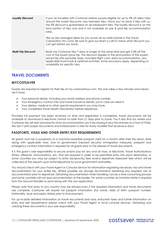| <b>Loyalty Discount</b>    | If you've travelled with Costsaver before youare eligible for up to 5% off select trips<br>around the world! Discounts vary between trips. Once you've done 5 trips with us,<br>the 5% discount is guaranteed on all subsequent trips. The loyalty discount is on the<br>land portion of trips only and is not available on pre & post-trip accommodation<br>rates.<br>We've also arranged deals for you across all our sister brands in The Travel<br>Corporation (ttc.com). Be sure to give our team a call to check what discount you<br>can get before you book. |
|----------------------------|----------------------------------------------------------------------------------------------------------------------------------------------------------------------------------------------------------------------------------------------------------------------------------------------------------------------------------------------------------------------------------------------------------------------------------------------------------------------------------------------------------------------------------------------------------------------|
| <b>Multi-Trip Discount</b> | Book two Costsaver trips 7 days or longer at the same time and get 2.5% off the<br>cost of the lowest price trip. This discount applies to the land portion of the lowest-<br>priced trip (this excludes taxes, included flight costs, extra accommodation, any<br>applicable food funds & optional activities. Some exclusions apply, depending on<br>availability for specific trips.                                                                                                                                                                              |

## **TRAVEL DOCUMENTS**

#### **MYCOSTSAVER**

Guests are required to register for their trip at my.costsavertour.com. This only takes a few minutes and means we'll have:

- Your personal details, including your email address and phone number.
- Your emergency contact info and travel insurance details, just in case we need it.
- Your dietary, medical or other special requirements you may have.
- Your completed Travel Health Declaration before departure.

Provided full payment has been received on time and registration is completed, travel documents will be available to download in electronic format no later than 21 days prior to travel. You'll also find out where your Costsaver trip will start and exactly what accommodation you'll be staying in plus the answers to a host of FAQs. We don't print paper documents and instead plant a tree for every traveller that receives e-docs.

#### **PASSPORTS, VISAS AND OTHER ENTRY/EXIT REQUIREMENTS**

All guests must be in possession of a machine-readable passport valid for 6 months after their trip return date along with applicable visas. Due to government imposed security/ immigration measures, passport and emergency contact information is required for all guests prior to the release of travel documents.

It is the guest's sole responsibility to secure and/or pay for any and all visas, or Electronic Travel Authorizations (ETAs), affidavits, immunisations, etc. that are required in order to be permitted entry into each destination. In some countries you may be subject to entry (reciprocity) fees and/or departure taxes/exit fees which will be collected at the airports upon entry/departure by local government authorities.

You should check with your Travel Agent or Consular Service for information regarding necessary visa and travel documentation for your entire trip. Where possible we strongly recommend obtaining any required visa or documentation prior to departure. Obtaining documentation while travelling can be a time consuming process and some countries will not issue documentation at the border. For some countries an invitation letter is required from the Ground Handler to send along with the visa application.

Please note that entry to any country may be refused even if the required information and travel documents are complete. Costsaver will require full passport information (full name, date of birth, passport number, Nationality, issue and expiry dates) prior to final payment.

For up-to-date detailed information on travel documents and visas, entry/exit taxes and further information on entry and exit requirements please check with your Travel Agent or local consular services. Obtaining and carrying these documents is your sole responsibility.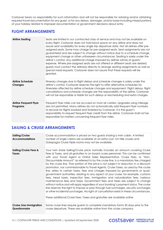Costsaver bears no responsibility for such information and will not be responsible for advising and/or obtaining required travel documentation for any guest, or for any delays, damages, and/or losses including missed portions of your holiday related to improper documentation or government decisions about entry.

## **FLIGHT ARRANGEMENTS**

| <b>Airline Seating</b>                    | Seats are limited in our contracted class of service and may not be available on<br>every flight. Costsaver does not hold block space on any airline and does not<br>assure seat availability for every single trip departure date. Not all airlines offer pre-<br>assigned seats. Some may charge for pre-assigned seats. Seat assignments are not<br>guaranteed and are subject to change without notice due to a schedule change,<br>equipment change or other unforeseen circumstances. Seating is solely under the<br>airline's control. Any additional charge imposed by airlines will be at guests'<br>expense. Where pre-assigned seats are not offered or different seats are desired,<br>guests must contact the airline(s) directly to arrange seating assignments as well as<br>special meal requests. Costsaver does not assure that these requests will be<br>granted. |
|-------------------------------------------|--------------------------------------------------------------------------------------------------------------------------------------------------------------------------------------------------------------------------------------------------------------------------------------------------------------------------------------------------------------------------------------------------------------------------------------------------------------------------------------------------------------------------------------------------------------------------------------------------------------------------------------------------------------------------------------------------------------------------------------------------------------------------------------------------------------------------------------------------------------------------------------|
| Airline Schedule<br><b>Changes</b>        | Itinerary changes due to flight delays and schedule changes is solely under the<br>airline's control. Costsaver reserves the right to offer alternative schedules for<br>itineraries affected by airline schedule changes and equipment. Flight delays, flight<br>cancellations and schedule changes are the responsibility of the airline. Costsaver<br>will not be responsible or liable for such delays or rescheduling and extra charges.                                                                                                                                                                                                                                                                                                                                                                                                                                        |
| <b>Airline Frequent Flyer</b><br>Programs | Frequent Flyer miles can be accrued on most air carriers. Upgrades using mileage<br>are not permitted. Many airlines do not automatically add frequent flyer numbers<br>to records for flights booked and ticketed by Costsaver. It is the guest's<br>responsibility to request frequent flyer credit from the airline. Costsaver shall not be<br>responsible for matters concerning frequent flyer miles.                                                                                                                                                                                                                                                                                                                                                                                                                                                                           |

## **SAILING & CRUISE ARRANGEMENTS**

| Sailing/Cruise<br><b>Accommodations</b>          | Cruise accommodation is priced on two guests sharing a twin cabin. A limited<br>number of single cabins are available at an extra cost. On Nile cruises and<br>Galapagos Cruise triple rooms may not be available.                                                                                                                                                                                                                                                                                                                                                                                                                                                                                                                                                                                                                                                                                                                                                                                                                                                                                                                                                                                                                      |
|--------------------------------------------------|-----------------------------------------------------------------------------------------------------------------------------------------------------------------------------------------------------------------------------------------------------------------------------------------------------------------------------------------------------------------------------------------------------------------------------------------------------------------------------------------------------------------------------------------------------------------------------------------------------------------------------------------------------------------------------------------------------------------------------------------------------------------------------------------------------------------------------------------------------------------------------------------------------------------------------------------------------------------------------------------------------------------------------------------------------------------------------------------------------------------------------------------------------------------------------------------------------------------------------------------|
| <b>Sailing/Cruise Fees &amp;</b><br><b>Taxes</b> | Your twin share Sailing/Cruise price normally includes an amount covering Cruise<br>Fees & Taxes, and all gratuities to on board cruise personnel. This can be confirmed<br>with your Travel Agent or Online Sales Representative. Cruise Fees, or "Non-<br>Discountable Amount" as referred to by the cruise line, is a mandatory fee charged<br>by the cruise line. That portion of the price is not subject to reduction in a discount<br>promotion, nor commissionable to Travel Agents. Cruise Taxes, as used by the cruise<br>line, refers to certain taxes, fees and charges imposed by governments or quasi-<br>government authorities, relating to any aspect of your cruise, for example, customs<br>fees, head taxes, inspection fees, immigration and naturalization fees, harbour<br>maintenance fees and taxes. Government fees and taxes are subject to change<br>without notice and will apply regardless of your booking's payment status. The cruise<br>line reserves the right to impose or pass through fuel surcharges, security surcharges<br>or other incidental surcharges. No right of cancellation exists in these circumstances.<br>These additional Cruise Fees, Taxes and gratuities are available online. |
| <b>Cruise Line Immigration</b><br>Questionnaire  | Some cruise lines require guests to complete mandatory forms 30 days prior to the<br>cruise departure. These are available online from the cruise company.                                                                                                                                                                                                                                                                                                                                                                                                                                                                                                                                                                                                                                                                                                                                                                                                                                                                                                                                                                                                                                                                              |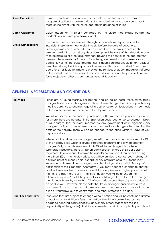| <b>Shore Excursions</b>     | To make your holiday even more memorable, cruise lines offer an extensive<br>program of optional shore excursions. Some cruise lines may allow you to book<br>these online direct with the cruise operator in advance of sailing.                                                                                                                                                                                                                                                                                                                                                                                                                                                                                                                                                                                                                                                                                     |
|-----------------------------|-----------------------------------------------------------------------------------------------------------------------------------------------------------------------------------------------------------------------------------------------------------------------------------------------------------------------------------------------------------------------------------------------------------------------------------------------------------------------------------------------------------------------------------------------------------------------------------------------------------------------------------------------------------------------------------------------------------------------------------------------------------------------------------------------------------------------------------------------------------------------------------------------------------------------|
| <b>Cabin Assignment</b>     | Cabin assignment is strictly controlled by the cruise lines. Please confirm the<br>available options with your Travel Agent.                                                                                                                                                                                                                                                                                                                                                                                                                                                                                                                                                                                                                                                                                                                                                                                          |
| <b>Cruise Cancellations</b> | The cruise operator has reserved the right to cancel any departure due to<br>insufficient reservations up to eight weeks before the date of departure.<br>Passengers may be offered alternative cruise dates. The cruise operator also<br>reserves the right to cancel any departure up until the date of that departure due<br>to force majeure or other circumstances beyond the control of the operator that<br>prevents the operation of the tour including governmental and administrative<br>decisions. Neither the cruise operator nor its agents are responsible for any costs or<br>penalties relating to air transport or other services that are cancelled. The cruise<br>operator is not liable for failure to provide the services or accommodations offered<br>to the extent that such services of accommodations cannot be provided due to<br>force majeure or other circumstances beyond its control. |

## **GENERAL INFORMATION AND CONDITIONS**

| <b>Trip Prices</b>          | Prices are in Pound Sterling, per person, and based on costs, tariffs, rates, taxes,<br>charges, levies and exchange rates. Should these change, the price of your holiday<br>may increase. No surcharges regarding cost or currency fluctuations will be made<br>to the land element only price once the deposit is received.                                                                                                                                                                                                                                                                                                                                                                                                                                                                                                                                                                                                                                                                                                                                                                                                                                                                                                                                                                                                                     |
|-----------------------------|----------------------------------------------------------------------------------------------------------------------------------------------------------------------------------------------------------------------------------------------------------------------------------------------------------------------------------------------------------------------------------------------------------------------------------------------------------------------------------------------------------------------------------------------------------------------------------------------------------------------------------------------------------------------------------------------------------------------------------------------------------------------------------------------------------------------------------------------------------------------------------------------------------------------------------------------------------------------------------------------------------------------------------------------------------------------------------------------------------------------------------------------------------------------------------------------------------------------------------------------------------------------------------------------------------------------------------------------------|
|                             | We will not increase the price of your holiday after we receive your deposit except<br>for where there are increases in transportation costs (due to fuel surcharges), taxes,<br>dues, charges, fees or levies imposed by any government or its agencies, any<br>changes to airport taxes or fees or any changes to exchange rates affecting the<br>costs of the holiday. There will be no change to the price within 20 days of your<br>departure date.                                                                                                                                                                                                                                                                                                                                                                                                                                                                                                                                                                                                                                                                                                                                                                                                                                                                                           |
|                             | Where holiday prices are surcharged, we will absorb an amount equivalent to 2%<br>of the holiday price which excludes insurance premiums and any amendment<br>charges. Only amounts in excess of this 2% will be surcharged, but where a<br>surcharge is payable, there will be an administration charge of £1 per person,<br>together with an amount to cover the agent's commission. If this means paying<br>more than 8% on the holiday price, you will be entitled to cancel your holiday with<br>a full refund of all money paid, except for any premium paid to us for holiday<br>insurance and amendment charges, provided that you do so within 14 days of<br>notification of the surcharge. Alternatively, you may accept a change to another<br>holiday if we are able to offer you one. If it is of equivalent or higher price you will<br>not have to pay more, but if it is of lower quality you will be refunded the<br>difference in price. Should the price of your holiday go down due to the changes<br>mentioned above, by more than 2% of your holiday cost, then any refund due will<br>be paid to you. However, please note that travel arrangements are not always<br>purchased in local currency and some apparent changes have no impact on the<br>price of your travel due to contractual and other protection in place. |
| <b>Other Fees and Taxes</b> | Taxes and fees are subject to change without notice and will be confirmed at time<br>of booking. Any additional fees charged by the airlines/ cruise lines such as<br>baggage handling, seat selections, and/or any other services are the sole<br>responsibility of the guest(s). Additional air-related restrictions apply. Any additional                                                                                                                                                                                                                                                                                                                                                                                                                                                                                                                                                                                                                                                                                                                                                                                                                                                                                                                                                                                                       |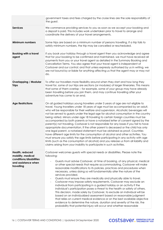|                                                                                                      | government taxes and fees charged by the cruise lines are the sole responsibility of<br>the guest.                                                                                                                                                                                                                                                                                                                                                                                                                                                                                                                                                                                                                                                                                                                                                                                                                                                                                                                                                                                                                                       |  |
|------------------------------------------------------------------------------------------------------|------------------------------------------------------------------------------------------------------------------------------------------------------------------------------------------------------------------------------------------------------------------------------------------------------------------------------------------------------------------------------------------------------------------------------------------------------------------------------------------------------------------------------------------------------------------------------------------------------------------------------------------------------------------------------------------------------------------------------------------------------------------------------------------------------------------------------------------------------------------------------------------------------------------------------------------------------------------------------------------------------------------------------------------------------------------------------------------------------------------------------------------|--|
| <b>Services</b>                                                                                      | We commence providing services to you as soon as we accept your booking and<br>a deposit is paid. This includes work undertaken prior to travel to arrange and<br>coordinate the delivery of your travel arrangements.                                                                                                                                                                                                                                                                                                                                                                                                                                                                                                                                                                                                                                                                                                                                                                                                                                                                                                                   |  |
| <b>Minimum numbers</b>                                                                               | Some trips are based on a minimum number of persons travelling. If a trip fails to<br>satisfy minimum numbers, the trip may be cancelled or rescheduled.                                                                                                                                                                                                                                                                                                                                                                                                                                                                                                                                                                                                                                                                                                                                                                                                                                                                                                                                                                                 |  |
| <b>Booking with a travel</b><br>agent                                                                | If you book your holiday through a travel agent then you acknowledge and agree<br>that for your booking to be confirmed and maintained, we must have received all<br>payments from you or your travel agent as detailed in the Summary Booking and<br>Cancellation Terms. You also agree that your travel agent is independent of<br>Costsaver and our control; and that unless expressly authorised by us in writing, we<br>are not bound by or liable for anything affecting us that the agent may or may not<br>do.                                                                                                                                                                                                                                                                                                                                                                                                                                                                                                                                                                                                                   |  |
| <b>Overlapping / Modular</b><br><b>Trips</b>                                                         | To offer our travellers more flexibility around when they start and how long they<br>travel for, some of our trips are sections (or modules) of larger itineraries. This means<br>that some of them overlap - for example, some of your group may have already<br>been travelling before you join them, and may continue travelling after your<br>adventure has come to an end.                                                                                                                                                                                                                                                                                                                                                                                                                                                                                                                                                                                                                                                                                                                                                          |  |
| <b>Age Restrictions</b>                                                                              | On all guided holidays young travellers under 5 years of age are not eligible to<br>travel. Young travellers under 18 years of age must be accompanied by an adult,<br>who will be responsible for their welfare and supervision. Alcoholic beverages will<br>not be served to guests under the legal age for alcohol consumption in the country<br>being visited. Minors under age 18 traveling to certain foreign countries must be<br>accompanied by both parents or have a notarized letter of consent signed by the<br>parent(s) not traveling. Costsaver is not responsible for any losses if you fail to have<br>appropriate documentation. If the other parent is deceased or the child has only<br>one legal parent, a notarized statement must be obtained as proof. Countries<br>have different age limits for the consumption of alcohol and other activities. You<br>must ensure you satisfy the age limits before participating in any activity with age<br>limits (such as the consumption of alcohol) and you release us from all liability and<br>claims arising from your inability to participate in such activities. |  |
| Health, reduced<br>mobility, medical<br>conditions/disabilities<br>and assistance when<br>travelling | Costsaver welcomes guests with special needs or disabilities. Please note the<br>following:<br>Guests must advise Costsaver, at time of booking, of any physical, medical<br>or other special needs that require accommodating. Costsaver will make<br>reasonable modifications to its policies, practices and procedures when<br>necessary, unless doing so will fundamentally alter the nature of the<br>services provided.<br>Guests must ensure they are medically and physically able to travel.<br>Costsaver may impose safety requirements. Costsaver may exclude an<br>individual from participating in a guided holiday or an activity if the<br>individual's participation poses a threat to the health or safety of others.<br>This decision, made solely by Costsaver, to exclude an individual will be<br>based on an individualized assessment based on reasonable judgment<br>that relies on current medical evidence or on the best available objective<br>evidence to determine the nature, duration and severity of the risk, the<br>probability that potential injury will occur and whether reasonable               |  |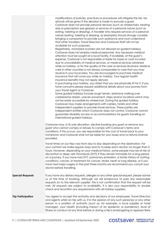|                           | modifications of policies, practices or procedures will mitigate the risk. No<br>refunds will be given if the decision is made to exclude a guest.<br>Costsaver does not provide personal devices (such as wheelchairs, hearing<br>aids or prescription eye glasses) or services of a personal nature (such as<br>eating, toileting or dressing). A traveller who requires services of a personal<br>nature (eating, toileting or dressing, as examples) should strongly consider<br>bringing a companion to provide such assistance and must understand<br>that other travellers, Travel Directors and Costsaver Staff will not be<br>available for such purposes.<br>Regrettably, motorized scooters are not allowed on guided holidays.<br>Costsaver does not employ medical personnel. Any necessary medical<br>attention must be sought at a local facility, if available, at the guest's<br>expense. Costsaver is not responsible or liable for losses or costs incurred<br>due to unavailability of medical services, or medical services obtained<br>while on holiday, or for the quality of the care or services received. Medical<br>care in other countries is not always comparable to care that you may<br>receive in your local area. You are encouraged to purchase medical<br>insurance that will cover you while on holiday. Your regular health<br>insurance benefits may not apply abroad.<br>In purchasing your holiday, you attest that you are physically fit for it. If you<br>have concerns please request additional details about your journey from<br>your Travel Agent or Costsaver.<br>Some guided holidays include rough terrain, extensive walking over<br>cobblestone streets, uneven pavement, steps and/or locations which may<br>not be easily accessible by wheelchair. During the guided holiday,<br>Costsaver may make arrangements with carriers, hotels and other<br>independent suppliers to provide travel services. These parties are<br>independent entities which Costsaver does not control. Costsaver cannot<br>guarantee disability access or accommodations for guests travelling on<br>international guided holidays.<br>Costsaver may, in its sole discretion, decline booking any guest or remove any<br>guest who cannot comply or refuses to comply with Costsaver's terms and<br>conditions. If this occurs, you are responsible for the cost of travel back to your<br>hometown and Costsaver shall not be liable for your losses and no refund shall be<br>provided.<br>Travel times on our trips vary from day to day depending on the destination. For<br>your comfort we make regular stops and try to keep each section no longer than 3<br>hours. However, depending on your medical history, some people may be at risk of<br>discomfort or deep vein thrombosis (DVT) if they remain immobile for a long period<br>on a journey. If you have had DVT, pulmonary embolism, a family history of clotting<br>conditions, cancer, or treatment for cancer, stroke, heart or lung disease, or if you<br>have had major surgery in the past three months we recommend you consult your<br>doctor before travelling. |
|---------------------------|-------------------------------------------------------------------------------------------------------------------------------------------------------------------------------------------------------------------------------------------------------------------------------------------------------------------------------------------------------------------------------------------------------------------------------------------------------------------------------------------------------------------------------------------------------------------------------------------------------------------------------------------------------------------------------------------------------------------------------------------------------------------------------------------------------------------------------------------------------------------------------------------------------------------------------------------------------------------------------------------------------------------------------------------------------------------------------------------------------------------------------------------------------------------------------------------------------------------------------------------------------------------------------------------------------------------------------------------------------------------------------------------------------------------------------------------------------------------------------------------------------------------------------------------------------------------------------------------------------------------------------------------------------------------------------------------------------------------------------------------------------------------------------------------------------------------------------------------------------------------------------------------------------------------------------------------------------------------------------------------------------------------------------------------------------------------------------------------------------------------------------------------------------------------------------------------------------------------------------------------------------------------------------------------------------------------------------------------------------------------------------------------------------------------------------------------------------------------------------------------------------------------------------------------------------------------------------------------------------------------------------------------------------------------------------------------------------------------------------------------------------------------------------------------------------------------------------------------------------------------------------------------------------------------------------------------------------------------------------------------------------------------------------------------------------------------------------------------------------------------------------------------------------------------------------|
| <b>Special Requests</b>   | If you have any dietary requests, allergies or any other special request, please advise<br>us at the time of booking. Although we will endeavour to pass any reasonable<br>requests on to the relevant supplier, this is not confirmation that the request will be<br>met. All requests are subject to availability. It is also your responsibility to double<br>check and reconfirm any requirements with all holiday suppliers.                                                                                                                                                                                                                                                                                                                                                                                                                                                                                                                                                                                                                                                                                                                                                                                                                                                                                                                                                                                                                                                                                                                                                                                                                                                                                                                                                                                                                                                                                                                                                                                                                                                                                                                                                                                                                                                                                                                                                                                                                                                                                                                                                                                                                                                                                                                                                                                                                                                                                                                                                                                                                                                                                                                                             |
| <b>Trip Participation</b> | You agree to accept the authority and decisions of our employees, Travel Directors<br>and agents whilst on trip with us. If in the opinion of any such person(s) or any other<br>person in a position of authority (such as, for example, a local supplier or hotel<br>manager), your health (including impact of an epidemic or pandemic), level of<br>fitness or conduct at any time before or during a trip is endangering or appears likely                                                                                                                                                                                                                                                                                                                                                                                                                                                                                                                                                                                                                                                                                                                                                                                                                                                                                                                                                                                                                                                                                                                                                                                                                                                                                                                                                                                                                                                                                                                                                                                                                                                                                                                                                                                                                                                                                                                                                                                                                                                                                                                                                                                                                                                                                                                                                                                                                                                                                                                                                                                                                                                                                                                               |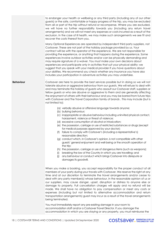|                  | to endanger your health or wellbeing or any third party (including any of our other<br>guests) or the safe, comfortable or happy progress of the trip, you may be excluded<br>from all or part of the trip without refund or recompense. Where you are excluded,<br>we will have no further responsibility towards you (including any return travel<br>arrangements) and we will not meet any expenses or costs incurred as a result of the<br>exclusion. In the case of ill health, we may make such arrangements we see fit and<br>recover the costs thereof from you.                                                                                                                                                                                                                                                                                                                                                                          |
|------------------|---------------------------------------------------------------------------------------------------------------------------------------------------------------------------------------------------------------------------------------------------------------------------------------------------------------------------------------------------------------------------------------------------------------------------------------------------------------------------------------------------------------------------------------------------------------------------------------------------------------------------------------------------------------------------------------------------------------------------------------------------------------------------------------------------------------------------------------------------------------------------------------------------------------------------------------------------|
|                  | Many Optional Experiences are operated by independent third party suppliers, not<br>Costsaver. These are not part of the holiday package provided by us. Your<br>contract will be with the operator of the experience. We are not responsible for<br>providing the experience, or anything that happens during the experience. Some<br>experiences involve outdoor activities and/or can be physically demanding and<br>may require signature of a waiver. You must make your own decisions about<br>experiences and participate only in activities that suit your physical ability: we<br>suggest that you speak with your medical provider if you have questions about<br>your abilities. We recommend you check whether any insurance you have also<br>includes your participation in adventure activities you may undertake.                                                                                                                  |
| <b>Behaviour</b> | Costsaver are here to provide the best services possible but in doing so we will not<br>tolerate abusive or aggressive behaviour from our guests. We will refuse to deal with<br>and may terminate the holiday of guests who assault our Costsaver staff, suppliers or<br>fellow guests or who are abusive or aggressive to them and are generally affecting<br>the enjoyment of others with their behaviour and you may be barred from future trips<br>with Costsaver and The Travel Corporation family of brands. This may include (but is<br>not limited to):                                                                                                                                                                                                                                                                                                                                                                                  |
|                  | (a) verbally abusive or offensive language towards anyone;<br>(b) bullying behaviour;<br>(c) inappropriate or abusive behaviour including uninvited physical contact,<br>harassment, violence or threat of violence;<br>(d) excessive consumption of alcohol or intoxication;<br>(e) the possession, carriage or use of restricted substances or drugs (except<br>for medical purposes approved by your doctor);<br>failure to comply with Costsaver's (including a representative's)<br>(f)<br>reasonable direction;<br>(g) conduct which, in Costsaver's opinion, is not compatible with other<br>guests' general enjoyment and well-being or the smooth operation of<br>the trip;<br>(h) the possession, carriage or use of dangerous items (such as weapons);<br>breaking the law of the Country in which you are travelling; and<br>(i)<br>any behaviour or conduct which brings Costsaver into disrepute or<br>(i)<br>damages its goodwill. |
|                  | When you make a booking, you accept responsibility for the proper conduct of all<br>members of your party during your travels with Costsaver. We reserve the right at any<br>time and at our discretion to terminate the travel arrangements and/or cease to<br>deal with any party member(s) whose behaviour, in the reasonable opinion of us or<br>our suppliers, may cause danger, upset, disruption or distress to anyone else or<br>damage to property. Full cancellation charges will apply and no refund will be<br>made. We shall have no obligation to pay compensation or meet any costs or<br>expenses (including but not limited to alternative accommodation and return<br>transportation arrangements) guest may incur as a result of the travel arrangements<br>being terminated.                                                                                                                                                  |
|                  | You must immediately report any pre-existing damage in your room to<br>accommodation staff and/or a Costsaver Travel Director. If you damage the<br>accommodation in which you are staying or any property, you must reimburse the                                                                                                                                                                                                                                                                                                                                                                                                                                                                                                                                                                                                                                                                                                                |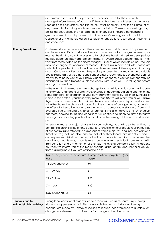|                                                   | and conditions.                                             | accommodation provider or property owner concerned for the cost of the<br>damage before the end of your stay if the cost has been established by then or as<br>soon as it has been established if later. You must indemnify us for the full amount of<br>any claim (also including legal costs) made against us. Criminal proceedings may<br>be instigated. Costsaver is not responsible for any costs incurred concerning a<br>guest removed from a trip or aircraft, ship or train. Guests agree not to hold<br>Costsaver or any of its related entities liable for any actions taken under these terms                                                                                                                                                                                                                                                                                                                                                                             |
|---------------------------------------------------|-------------------------------------------------------------|---------------------------------------------------------------------------------------------------------------------------------------------------------------------------------------------------------------------------------------------------------------------------------------------------------------------------------------------------------------------------------------------------------------------------------------------------------------------------------------------------------------------------------------------------------------------------------------------------------------------------------------------------------------------------------------------------------------------------------------------------------------------------------------------------------------------------------------------------------------------------------------------------------------------------------------------------------------------------------------|
| <b>Itinerary Variations</b>                       | making a reservation.                                       | Costsaver strives to improve trip itineraries, services and features. If improvements<br>can be made, or if circumstances beyond our control make changes necessary, we<br>reserve the right to vary itineraries and to substitute hotels. At certain peak periods<br>multiple departures may operate, sometimes in reverse order; accommodation may<br>vary from those stated on the itinerary pages. On trips which include cruises, the ship<br>may be changed for operational reasons. Departures in early and late season are<br>potentially operated in cool weather conditions. As a result, itinerary variations may<br>occur. Certain activities may not be precisely as described or may not be available<br>due to seasonality or weather conditions or other circumstances beyond our control.<br>We will try to notify you or your Travel Agent of changes. If your enjoyment may be<br>diminished by such limitations, please check with us or your Travel Agent before |
|                                                   | paid.                                                       | In the event that we make a major change to your holiday (which does not include,<br>for example, changes to aircraft type, change of accommodation to another of the<br>same standard, or alteration of your outward/return flights by less than 12 hours) or<br>increase the costs of your holiday by more than 8% we will inform you or your Travel<br>Agent as soon as reasonably possible if there is time before your departure date. You<br>will either have the choice of accepting the change of arrangements, accepting<br>an offer of alternative travel arrangements of comparable standard from us if<br>available (we will refund any price difference if the alternative is of a lower value,<br>but these booking terms and conditions will continue to apply to any alternative<br>booking), or cancelling your booked holiday and receiving a full refund of all monies                                                                                             |
|                                                   | from claiming more if you are entitled to do so:            | Where we make a major change to your holiday, you will also be entitled to<br>compensation unless the change arises for unusual or unforeseeable reasons outside<br>of our control (also referred to as reasons of "force majeure", and includes war (and<br>threat of war), riot, industrial dispute, actual or threatened terrorist activity and its<br>consequences, civil disturbances, natural or nuclear disaster, fire, adverse weather<br>conditions, epidemics, pandemics, unavoidable technical problems with<br>transportation and any other similar events). The level of compensation will depend<br>on when we inform you of the major change, although this does not exclude you                                                                                                                                                                                                                                                                                       |
|                                                   | No. of days prior to departure Compensation payable<br>date | [per]<br>person)                                                                                                                                                                                                                                                                                                                                                                                                                                                                                                                                                                                                                                                                                                                                                                                                                                                                                                                                                                      |
|                                                   | 46 days and over                                            | £О                                                                                                                                                                                                                                                                                                                                                                                                                                                                                                                                                                                                                                                                                                                                                                                                                                                                                                                                                                                    |
|                                                   | $45 - 22$ days                                              | £10                                                                                                                                                                                                                                                                                                                                                                                                                                                                                                                                                                                                                                                                                                                                                                                                                                                                                                                                                                                   |
|                                                   | $21 - 8$ days                                               | £20                                                                                                                                                                                                                                                                                                                                                                                                                                                                                                                                                                                                                                                                                                                                                                                                                                                                                                                                                                                   |
|                                                   | $7 - 1$ days                                                | £30                                                                                                                                                                                                                                                                                                                                                                                                                                                                                                                                                                                                                                                                                                                                                                                                                                                                                                                                                                                   |
|                                                   | Day of departure                                            | £40                                                                                                                                                                                                                                                                                                                                                                                                                                                                                                                                                                                                                                                                                                                                                                                                                                                                                                                                                                                   |
| Changes due to<br><b>National/Public Holidays</b> |                                                             | During local or national holidays, certain facilities such as museums, sightseeing<br>trips and shopping may be limited or unavailable. In such instances itinerary<br>changes are made by Costsaver seeking to reduce inconvenience to guests. Such<br>changes are deemed not to be a major change to the itinerary, and no                                                                                                                                                                                                                                                                                                                                                                                                                                                                                                                                                                                                                                                          |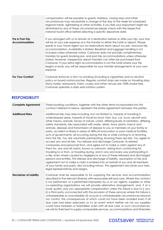|                                         | compensation will be payable to guests. Holidays, closing days and other<br>circumstances may necessitate a change of the day of the week for scheduled<br>regional meals, sightseeing or other activities. If you feel your enjoyment might be<br>diminished by any of these circumstances please check with the respective<br>national tourist office before selecting a specific departure date.                                                                                                                                                                                                                                                                                                                                                                                      |
|-----------------------------------------|------------------------------------------------------------------------------------------------------------------------------------------------------------------------------------------------------------------------------------------------------------------------------------------------------------------------------------------------------------------------------------------------------------------------------------------------------------------------------------------------------------------------------------------------------------------------------------------------------------------------------------------------------------------------------------------------------------------------------------------------------------------------------------------|
| Pre & Post-Trip<br><b>Accommodation</b> | If you arranged with us to remain at a destination before or after your trip, your stay<br>will be at your sole expense as is the transfer to either the hotel or airport. Please<br>speak to your Travel Agent our our reservations team about our pre- and post-trip<br>accommodation. Availability is limited. Breakfast and luggage handling is not<br>included unless otherwise noted. Costsaver does not provide complimentary<br>transfers for guests booking pre- and post-trip accommodations unless otherwise<br>stated. However, inexpensive airport transfers can often be purchased from<br>Costsaver. If your extra night accommodation is not the hotel where your trip<br>begins or ends, you will be responsible for your transfer arrangements at your own<br>expense. |
| <b>For Your Comfort</b>                 | Costsaver enforces a strict no smoking (including e-cigarettes) and no alcohol<br>policy on board motorcoaches. Regular comfort stops are made on traveling days.<br>Many hotels, restaurants, trains, cruises and other venues are 100% smoke free.<br>Costsaver operates a daily seat rotation system.                                                                                                                                                                                                                                                                                                                                                                                                                                                                                 |

## **RESPONSIBILITY**

| <b>Complete Agreement</b>      | These booking conditions, together with the other terms incorporated into this<br>contract referred to below, represent the entire agreement between the parties.                                                                                                                                                                                                                                                                                                                                                                                                                                                                                                                                                                                                                                                                                                                                                                                                                                                                                                                                                                                                                                                                                                                                                                                                                                                                                            |
|--------------------------------|--------------------------------------------------------------------------------------------------------------------------------------------------------------------------------------------------------------------------------------------------------------------------------------------------------------------------------------------------------------------------------------------------------------------------------------------------------------------------------------------------------------------------------------------------------------------------------------------------------------------------------------------------------------------------------------------------------------------------------------------------------------------------------------------------------------------------------------------------------------------------------------------------------------------------------------------------------------------------------------------------------------------------------------------------------------------------------------------------------------------------------------------------------------------------------------------------------------------------------------------------------------------------------------------------------------------------------------------------------------------------------------------------------------------------------------------------------------|
| <b>Additional Risks</b>        | Additional risks may arise including, but not limited to, hazards of traveling in<br>undeveloped areas, hazards of travel by boat, train, bus, car, truck, aircraft and<br>other means, animals, forces of nature, unrest, differing levels of sanitation, differing<br>safety standards, risks associated with water, drinks, food, plants, insects and<br>animals, diseases and transmission of disease to you or members of your family or<br>party, accident or illness in areas of difficult evacuation or poor medical facilities,<br>acts of governments; all occurring during the trip or while coming to or returning<br>from the trip. You are voluntarily participating, knowing there are risks. You agree to<br>accept any and all risks. You release and discharge Costsaver, its related<br>companies and personnel from, and agree not to make a claim against any of<br>them for, any and all claims, known or unknown, arising from contracting for,<br>traveling to or from, or traveling during, and in any and every way participating in<br>a trip, even where caused by negligence of any of these released and discharged<br>persons and entities. This release and discharge of liability, assumption of risk and<br>agreement not to make a claim is entered into on behalf of you and all members<br>of your family and party, also including minors. This agreement also binds your heirs,<br>legal representatives and assigns. |
| <b>Disclaimer of Liability</b> | Costsaver shall be responsible to for supplying the services and accommodation<br>described in the relevant itinerary with reasonable skill and care. Where the contract<br>is not performed, or is performed improperly by us or our agents, suppliers or other<br>co-operating organisations we will provide alternative arrangements, and, if of a<br>lower quality, pay you appropriate compensation unless this failure is due to i) you;<br>ii) a third party unconnected with the provision of these services where this failure is<br>unforeseeable or unavoidable; iii) unusual or unforeseeable circumstances beyond<br>our control, the consequences of which could not have been avoided even if all<br>due care had been exercised; or iv) an event which neither we nor our suppliers<br>could have foreseen or forestalled, even with all due care. In such circumstances,<br>we will do their best to supply comparable services, accommodations and itineraries                                                                                                                                                                                                                                                                                                                                                                                                                                                                             |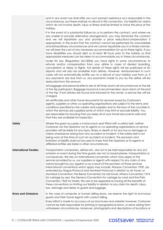|                               | and in any event we shall offer you such prompt assistance as is reasonable in the<br>circumstances, but there shall be no refund in this connection. Our liability for claims<br>which do not involve death, injury or illness shall be limited to twice the price of the<br>holiday.<br>If in the event of a substantial failure by us to perform the contract, and where we<br>are unable to provide alternative arrangements, you may terminate the contract<br>and we will repatriate you and provide a price reduction/compensation if<br>appropriate. In the event that the contract cannot be performed for unavoidable<br>and extraordinary circumstances and we cannot repatriate you in a timely manner,<br>we will bear the cost of any necessary accommodation for up to three nights. If you<br>have disabilities you should alert us at least 48 hours prior to the holiday so that<br>appropriate measures can be taken to accommodate you in these circumstances.<br>Under EU law (Regulation 261/2004) you have rights in some circumstances to<br>refunds and/or compensation from your airline in cases of denied boarding,<br>cancellation or delay to flights. Full details of these rights will be publicised at EU<br>airports and will also be available from airlines. However, reimbursement in such<br>cases will not automatically entitle you to a refund of your holiday cost from us. If<br>any payments are due from us, any payments made to you by the airline will be<br>deducted from this amount.<br>All baggage and personal effects are at all times and in all circumstances at the risk<br>of the trip participant. Baggage insurance is recommended. Upon return at the end<br>of the trip, if lost articles are found and returned to the owner, a service fee will be<br>charged.<br>All certificates and other travel documents for services issued by Costsaver's<br>agents, suppliers or other co-operating organisations are subject to the terms and<br>conditions specified by the carriers and suppliers and to the laws of the countries in<br>which the services are supplied some of which may limit or exclude liability. You<br>are responsible for ensuring that you keep all of your travel documents safe and<br>that they are available for inspection. |
|-------------------------------|----------------------------------------------------------------------------------------------------------------------------------------------------------------------------------------------------------------------------------------------------------------------------------------------------------------------------------------------------------------------------------------------------------------------------------------------------------------------------------------------------------------------------------------------------------------------------------------------------------------------------------------------------------------------------------------------------------------------------------------------------------------------------------------------------------------------------------------------------------------------------------------------------------------------------------------------------------------------------------------------------------------------------------------------------------------------------------------------------------------------------------------------------------------------------------------------------------------------------------------------------------------------------------------------------------------------------------------------------------------------------------------------------------------------------------------------------------------------------------------------------------------------------------------------------------------------------------------------------------------------------------------------------------------------------------------------------------------------------------------------------------------------------------------------------------------------------------------------------------------------------------------------------------------------------------------------------------------------------------------------------------------------------------------------------------------------------------------------------------------------------------------------------------------------------------------------------------------------------------------------------------------------------------------------------------------------|
| <b>Safety</b>                 | Where the guest occupies a motorcoach seat fitted with a safety belt, neither<br>Costsaver nor the Operator nor its agents or co-operating organisations or service<br>providers will be liable for any injury, illness or death or for any loss or damages or<br>claims whatsoever arising from any accident or incident, if the safety belt is not<br>being worn at the time of such an accident or incident. This exclusion and<br>limitation of liability shall not be used to imply that the Operator or its agents or<br>affiliated entities are liable in other circumstances.                                                                                                                                                                                                                                                                                                                                                                                                                                                                                                                                                                                                                                                                                                                                                                                                                                                                                                                                                                                                                                                                                                                                                                                                                                                                                                                                                                                                                                                                                                                                                                                                                                                                                                                                |
| <b>International Treaties</b> | Transportation companies, airlines etc. are not to be held responsible for any act,<br>omission or event during the time guests are not on board planes, transportation or<br>conveyances. We rely on international convention which may apply to the<br>services provided by us, our suppliers or agents with respect to any claim of any<br>nature brought by you against us as a result of the provision of those services.<br>International conventions which apply may include: Warsaw Convention 1929, (as<br>amended by Hague Protocol and Montreal Protocol) in relation to air travel, or<br>Montreal Convention; the Berne Convention for rail travel; Athens Convention 1974<br>for carriage by sea; the Geneva Convention for carriage by road and the Paris<br>Convention 1962 for Hotels. We are to be regarded as having all the benefits of<br>these conventions on limiting our liability in relation to any claim for death, injury,<br>loss, damage and delay to guests and luggage.                                                                                                                                                                                                                                                                                                                                                                                                                                                                                                                                                                                                                                                                                                                                                                                                                                                                                                                                                                                                                                                                                                                                                                                                                                                                                                              |
| <b>Errors and Omissions</b>   | In the case of computer or human billing errors, we reserve the right to re-invoice<br>guests and their Travel Agents with correct billing.<br>Every effort is made to accuracy of our brochures and website; however, Costsaver<br>cannot be held responsible for printing or typographical errors, or errors arising from<br>unforeseen circumstances. Moreover, photographs and descriptions of locations or                                                                                                                                                                                                                                                                                                                                                                                                                                                                                                                                                                                                                                                                                                                                                                                                                                                                                                                                                                                                                                                                                                                                                                                                                                                                                                                                                                                                                                                                                                                                                                                                                                                                                                                                                                                                                                                                                                      |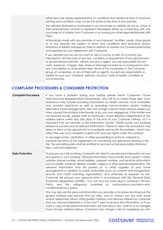attractions are merely representative of conditions that existed at time of brochure printing and conditions may not be the same at the time of your journey.

The airline(s) featured or nominated in our brochures or website do not by virtue of their endorsement commit or represent themselves either as contracting with any purchaser of a holiday from Costsaver or as having any other legal relationship with them.

All bookings made with any provider of any transport, facilities, meals, other goods or of any services are subject to terms and conditions and exclusions and/or limitations of liability imposed by them in relation to matters not covered particularly and expressly by your agreement with Costsaver.

If you decide that you do not want to visit a country or part of a country you intended to visit because of any law, condition or requirement of any government or governmental authority, official, servant or agent, you are responsible for any costs, expenses, charges, fees, losses or damage incurred as a consequence and any cancellation or amendment fees. None of the companies in the Costsaver group of companies, or any of their staff or agents, accept any responsibility or liability for your acts, omissions, defaults, conduct, state of health, condition or circumstances.

### **COMPLAINT PROCEDURES & CONSUMER PROTECTION**

| <b>Complaint Procedure</b> | If you have a problem during your holiday please inform Costsaver's Travel<br>Director/Local Representative immediately, who will try to make things right. Such<br>assistance may include providing information on health services, local authorities<br>and consular assistance as well as arranging communication and/or making<br>alternative travel arrangements. We may charge a fee for these services where you<br>have caused the problem intentionally or by your own negligence. If the matter was<br>not resolved locally, please write to Costsaver's Guest Relations Department at the<br>address below within sixty (60) days of the end of your Costsaver holiday, as it is<br>important that you provide us the information quickly. Please quote your booking<br>reference number and all relevant information. Failure to follow this procedure may<br>delay or deny us the opportunity to investigate and rectify the problem, which may<br>affect the way your complaint is dealt with and your rights under this contract.<br>In any legal action, arbitration, or other proceeding to enforce, interpret or<br>construe the terms of this Agreement, or concerning any grievance relating to the<br>trip, the prevailing party shall be entitled to recover actual reasonable attorneys' |
|----------------------------|-----------------------------------------------------------------------------------------------------------------------------------------------------------------------------------------------------------------------------------------------------------------------------------------------------------------------------------------------------------------------------------------------------------------------------------------------------------------------------------------------------------------------------------------------------------------------------------------------------------------------------------------------------------------------------------------------------------------------------------------------------------------------------------------------------------------------------------------------------------------------------------------------------------------------------------------------------------------------------------------------------------------------------------------------------------------------------------------------------------------------------------------------------------------------------------------------------------------------------------------------------------------------------------------------------------------|
|                            | fees, costs and expenses.                                                                                                                                                                                                                                                                                                                                                                                                                                                                                                                                                                                                                                                                                                                                                                                                                                                                                                                                                                                                                                                                                                                                                                                                                                                                                       |
| <b>Data Protection</b>     | To process your trip booking, Costsaver will need to use personal information for you<br>and guests in your booking. Personal information may include each guest's name,<br>address, phone number, email address, passport number, and sensitive information<br>such as health, medical, dietary, mobility, religious or other special requirements. This<br>personal information may be passed on to other suppliers of your travel<br>arrangements in addition to public authorities (such as customs and immigration),<br>security and credit checking organisations, and otherwise as required by law.<br>Costsaver will process your personal data in accordance with the General Data<br>Protection Regulations (GDPR). You can find out more about Costsaver's Privacy<br>safeguards available at costsavertour.com/terms-and-<br>Policy and<br>the<br>conditions/privacy-policy.                                                                                                                                                                                                                                                                                                                                                                                                                        |
|                            | We may also use the personal information you provide us to review and improve the<br>guided holidays and services that we offer, and to contact you (by mail, email<br>and/or telephone) about other guided holidays and services offered by Costsaver<br>that you may be interested in. If you don't want to receive this information, or if you<br>want a copy of the personal information we hold about you, write to us at Trafalgar<br>Tours Ltd (see address below). Costsaver may charge a fee for supplying you with                                                                                                                                                                                                                                                                                                                                                                                                                                                                                                                                                                                                                                                                                                                                                                                    |